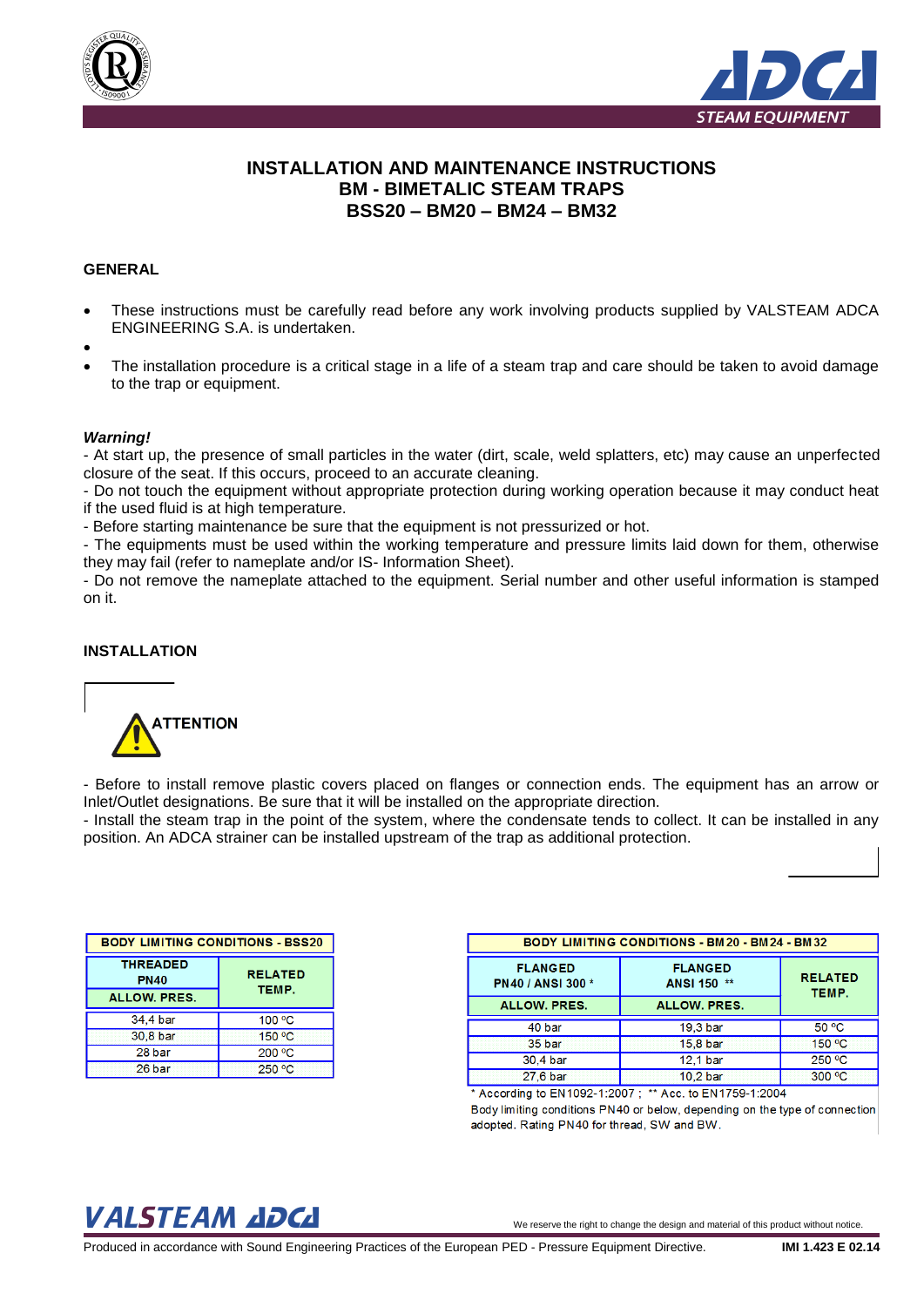



# **INSTALLATION AND MAINTENANCE INSTRUCTIONS BM - BIMETALIC STEAM TRAPS BSS20 – BM20 – BM24 – BM32**

## **GENERAL**

- These instructions must be carefully read before any work involving products supplied by VALSTEAM ADCA ENGINEERING S.A. is undertaken.
- $\bullet$
- The installation procedure is a critical stage in a life of a steam trap and care should be taken to avoid damage to the trap or equipment.

#### *Warning!*

- At start up, the presence of small particles in the water (dirt, scale, weld splatters, etc) may cause an unperfected closure of the seat. If this occurs, proceed to an accurate cleaning.

- Do not touch the equipment without appropriate protection during working operation because it may conduct heat if the used fluid is at high temperature.

- Before starting maintenance be sure that the equipment is not pressurized or hot.

- The equipments must be used within the working temperature and pressure limits laid down for them, otherwise they may fail (refer to nameplate and/or IS- Information Sheet).

- Do not remove the nameplate attached to the equipment. Serial number and other useful information is stamped on it.

## **INSTALLATION**



- Before to install remove plastic covers placed on flanges or connection ends. The equipment has an arrow or Inlet/Outlet designations. Be sure that it will be installed on the appropriate direction.

- Install the steam trap in the point of the system, where the condensate tends to collect. It can be installed in any position. An ADCA strainer can be installed upstream of the trap as additional protection.

| <b>BODY LIMITING CONDITIONS - BSS20</b>                                          |        |  |  |
|----------------------------------------------------------------------------------|--------|--|--|
| <b>THREADED</b><br><b>RELATED</b><br><b>PN40</b><br>TEMP.<br><b>ALLOW. PRES.</b> |        |  |  |
| 34.4 bar                                                                         | 100 °C |  |  |
| 30.8 bar                                                                         | 150 °C |  |  |
| 28 bar                                                                           | 200 °C |  |  |
| 26 bar                                                                           | 250 °C |  |  |

| <b>BODY LIMITING CONDITIONS - BM20 - BM24 - BM32</b> |                         |        |  |
|------------------------------------------------------|-------------------------|--------|--|
| <b>FLANGED</b><br><b>PN40 / ANSI 300 *</b>           | <b>RELATED</b><br>TEMP. |        |  |
| <b>ALLOW. PRES.</b>                                  | <b>ALLOW, PRES.</b>     |        |  |
| 40 bar                                               | 19.3 bar                | 50 °C  |  |
| 35 bar                                               | 15,8 bar                | 150 °C |  |
| 30.4 bar                                             | 12.1 bar                | 250 °C |  |
| 27,6 bar                                             | 10.2 bar                | 300 °C |  |

According to EN1092-1:2007; \*\* Acc. to EN1759-1:2004 Body limiting conditions PN40 or below, depending on the type of connection adopted. Rating PN40 for thread, SW and BW.

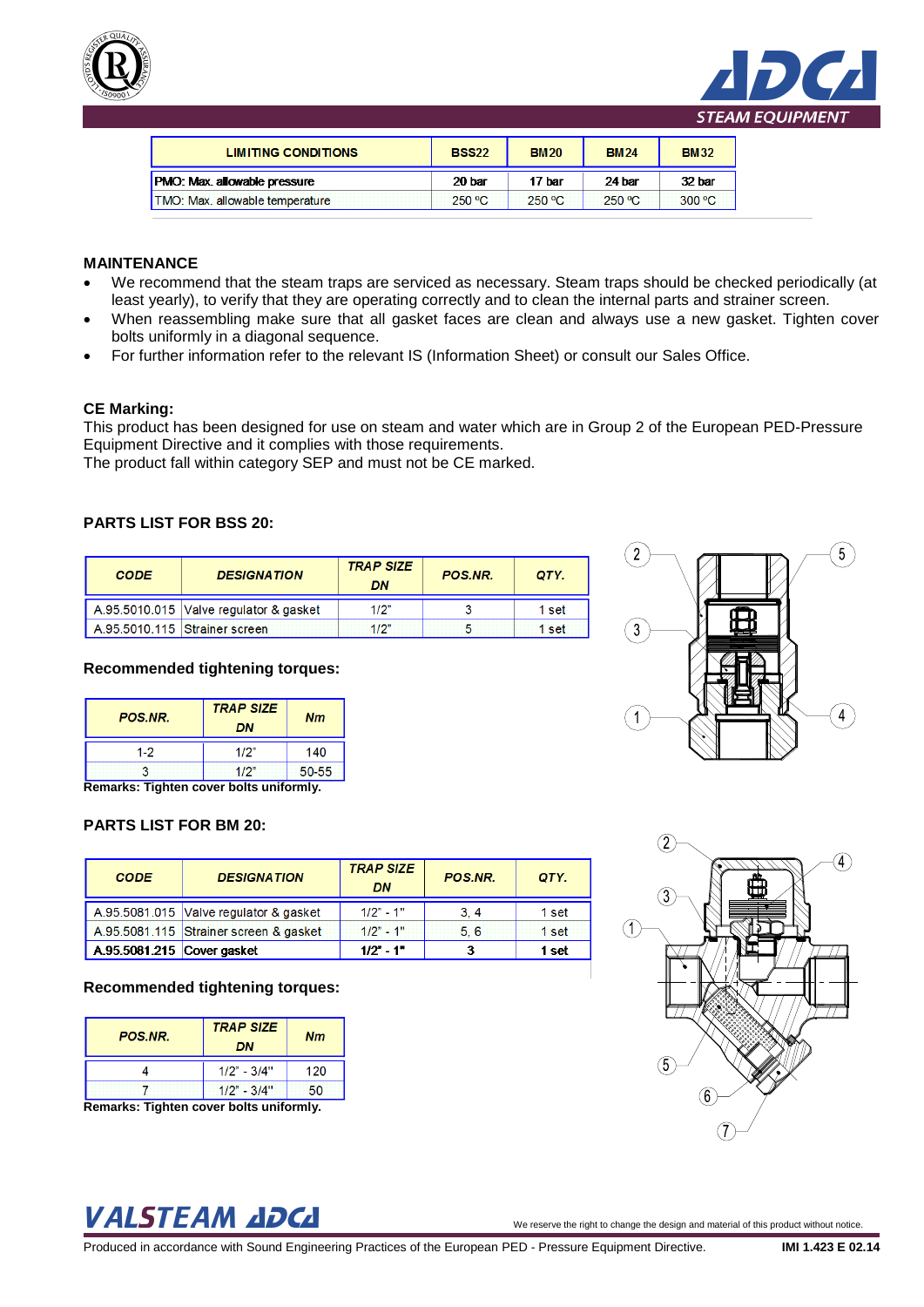



| <b>LIMITING CONDITIONS</b>          | <b>BSS22</b> | <b>BM20</b> | <b>BM24</b> | <b>BM32</b> |
|-------------------------------------|--------------|-------------|-------------|-------------|
|                                     |              |             |             |             |
| <b>PMO: Max. allowable pressure</b> | 20 bar       | 17 bar      | 24 bar      | 32 bar      |

# **MAINTENANCE**

- We recommend that the steam traps are serviced as necessary. Steam traps should be checked periodically (at least yearly), to verify that they are operating correctly and to clean the internal parts and strainer screen.
- When reassembling make sure that all gasket faces are clean and always use a new gasket. Tighten cover bolts uniformly in a diagonal sequence.
- For further information refer to the relevant IS (Information Sheet) or consult our Sales Office.

## **CE Marking:**

This product has been designed for use on steam and water which are in Group 2 of the European PED-Pressure Equipment Directive and it complies with those requirements.

The product fall within category SEP and must not be CE marked.

# **PARTS LIST FOR BSS 20:**

| <b>CODE</b> | <b>DESIGNATION</b>                       | <b>TRAP SIZE</b><br>DN | <b>POS NR.</b> | OTY.       |
|-------------|------------------------------------------|------------------------|----------------|------------|
|             | A.95.5010.015   Valve regulator & gasket | 1/2"                   |                | 1 set      |
|             | A.95.5010.115 Strainer screen            | 1/2"                   |                | <b>set</b> |

## **Recommended tightening torques:**

| DN   |                                               |
|------|-----------------------------------------------|
| 1/2" | 140                                           |
| 1/2" | 50-55                                         |
|      | <b>Domarke: Tighton cover holte uniformly</b> |

**Remarks: Tighten cover bolts uniformly.**

## **PARTS LIST FOR BM 20:**

| <b>CODE</b>                | <b>DESIGNATION</b>                     | <b>TRAP SIZE</b><br>DN | POS.NR. | QTY.  |
|----------------------------|----------------------------------------|------------------------|---------|-------|
|                            | A.95.5081.015 Valve regulator & gasket | $1/2" - 1"$            | 3.4     | 1 set |
|                            | A.95.5081.115 Strainer screen & gasket | $1/2" - 1"$            | 5.6     | 1 set |
| A.95.5081.215 Cover gasket |                                        | $1/2" - 1"$            |         | 1 set |

## **Recommended tightening torques:**

| <b>POS NR.</b> | <b>TRAP SIZE</b><br>DN | Nm  |
|----------------|------------------------|-----|
|                | $1/2" - 3/4"$          | 120 |
|                | $1/2" - 3/4"$          | 50  |
| --             | $ -$<br>$\sim$         |     |

**Remarks: Tighten cover bolts uniformly.**

# $\Omega$  $\left( 4\right)$

# VALSTEAM ADCA We reserve the right to change the design and material of this product without notice.

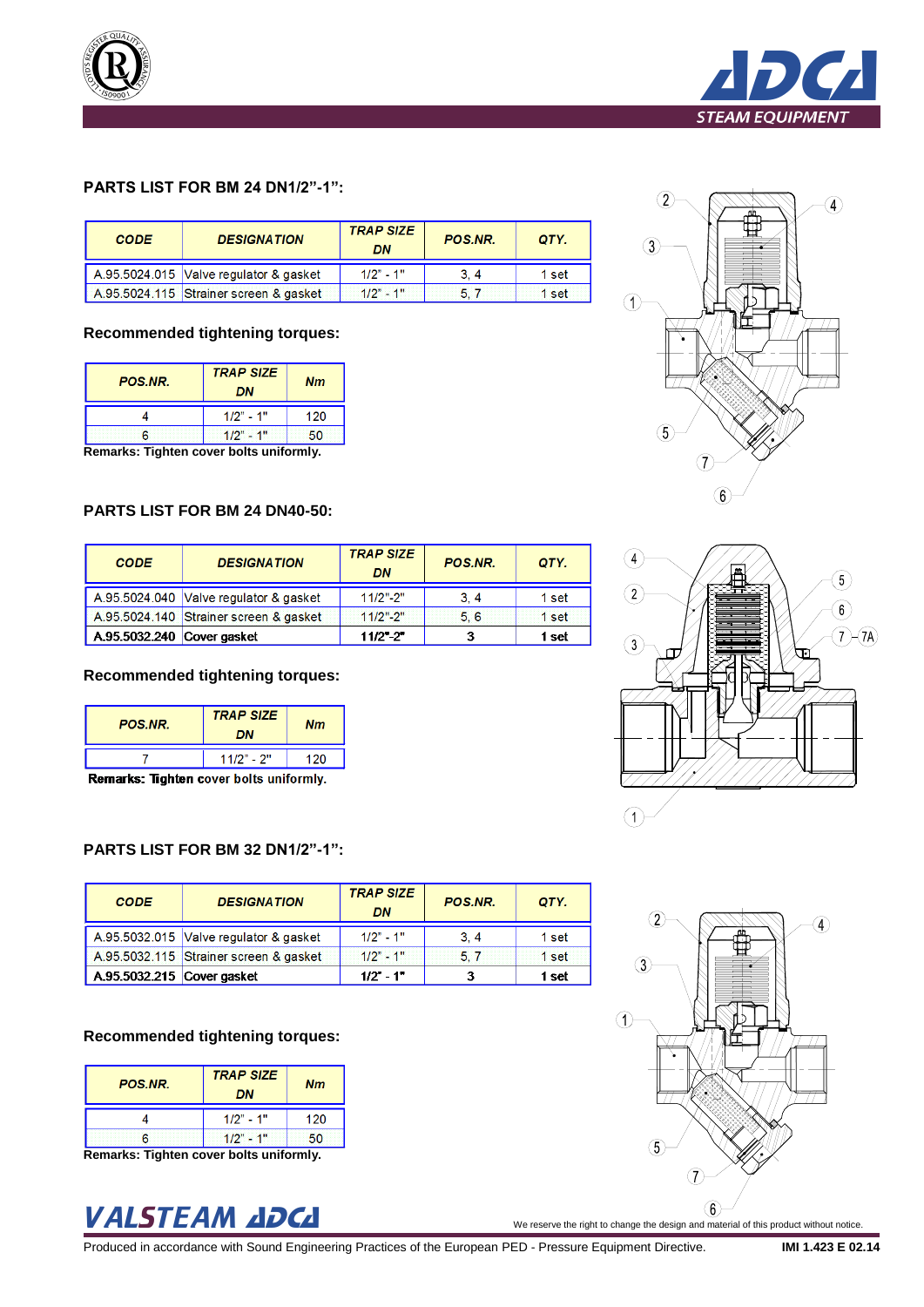



# **PARTS LIST FOR BM 24 DN1/2"-1":**

| <b>CODE</b> | <b>DESIGNATION</b>                     | <b>TRAP SIZE</b><br>DN | <b>POS NR.</b> | OTY.  |
|-------------|----------------------------------------|------------------------|----------------|-------|
|             | A.95.5024.015 Valve regulator & gasket | $1/2" - 1"$            | 3.4            | 1 set |
|             | A.95.5024.115 Strainer screen & gasket | $1/2" - 1"$            |                | 1 set |

## **Recommended tightening torques:**

| <b>POS.NR.</b> | <b>TRAP SIZE</b><br>DN | <b>Nm</b> |
|----------------|------------------------|-----------|
|                | $1/2" - 1"$            | 120       |
| ค              | $1/2" - 1"$            | 50        |
| -<br>--<br>__  | - -<br>$\sim$          | -         |

**Remarks: Tighten cover bolts uniformly.**

## **PARTS LIST FOR BM 24 DN40-50:**

| <b>CODE</b>                | <b>DESIGNATION</b>                     | <b>TRAP SIZE</b><br>DN | POS.NR. | QTY.  |
|----------------------------|----------------------------------------|------------------------|---------|-------|
|                            | A.95.5024.040 Valve regulator & gasket | $11/2$ "-2"            | 3, 4    | 1 set |
|                            | A.95.5024.140 Strainer screen & gasket | $11/2$ "-2"            | 5.6     | 1 set |
| A.95.5032.240 Cover gasket |                                        | $11/2$ "-2"            |         | 1 set |

## **Recommended tightening torques:**

| <b>POS NR.</b> | <b>TRAP SIZE</b><br>DN | Nm  |
|----------------|------------------------|-----|
|                | $11/2" - 2"$           | 120 |
|                |                        |     |

Remarks: Tighten cover bolts uniformly.

## **PARTS LIST FOR BM 32 DN1/2"-1":**

| <b>CODE</b>                              | <b>DESIGNATION</b>                     | <b>TRAP SIZE</b><br>DN | POS.NR. | QTY.  |
|------------------------------------------|----------------------------------------|------------------------|---------|-------|
|                                          | A.95.5032.015 Valve regulator & gasket | $1/2" - 1"$            | 3.4     | 1 set |
|                                          | A.95.5032.115 Strainer screen & gasket | $1/2" - 1"$            | 5.7     | 1 set |
| $\overline{)$ A.95.5032.215 Cover gasket |                                        | $1/2" - 1"$            |         | 1 set |

## **Recommended tightening torques:**

| <b>POS.NR.</b> | <b>TRAP SIZE</b><br>DN      | <b>Nm</b> |
|----------------|-----------------------------|-----------|
|                | $1/2" - 1"$                 | 120       |
| ิธ             | $1/2" - 1"$                 | 50        |
| 71 a.C. e.a    | a la altra constitución las |           |

**Remarks: Tighten cover bolts uniformly.**







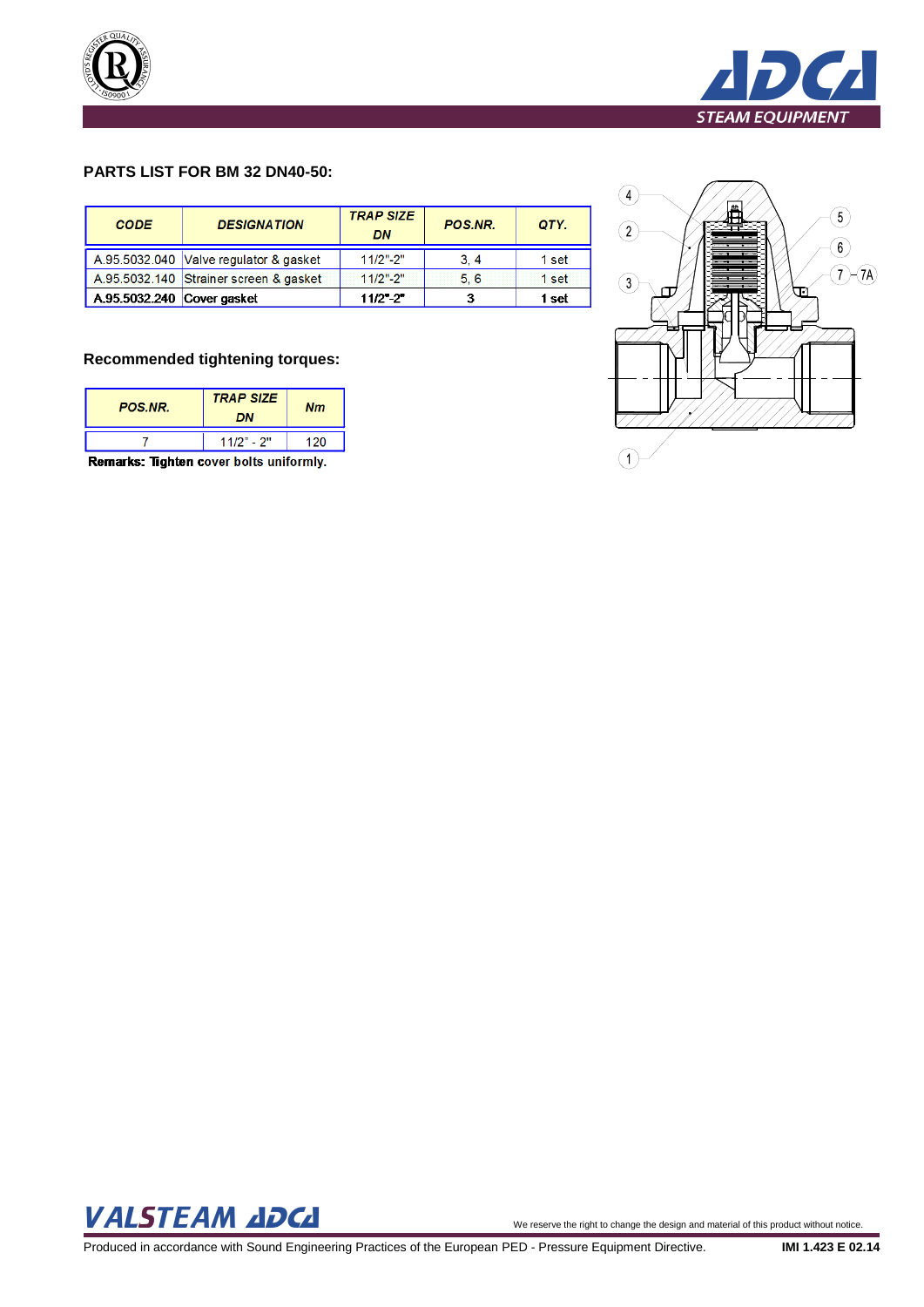



# **PARTS LIST FOR BM 32 DN40-50:**

| <b>CODE</b>                | <b>DESIGNATION</b>                     | <b>TRAP SIZE</b><br><b>DN</b> | POS.NR. | QTY.  |
|----------------------------|----------------------------------------|-------------------------------|---------|-------|
|                            | A.95.5032.040 Valve regulator & gasket | $11/2$ "-2"                   | 3, 4    | 1 set |
|                            | A.95.5032.140 Strainer screen & gasket | $11/2" - 2"$                  | 5.6     | 1 set |
| A.95.5032.240 Cover gasket |                                        | $11/2$ "-2"                   |         | 1 set |

## **Recommended tightening torques:**

| <b>POS NR.</b> | <b>TRAP SIZE</b><br>DN | Nm    |
|----------------|------------------------|-------|
|                | $11/2" - 2"$           | 1 2 N |

Remarks: Tighten cover bolts uniformly.